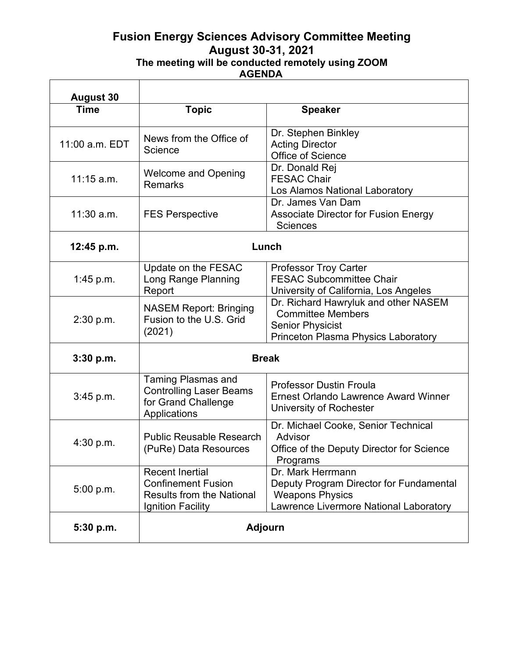## **Fusion Energy Sciences Advisory Committee Meeting August 30-31, 2021 The meeting will be conducted remotely using ZOOM AGENDA**

| <b>August 30</b> |                                                                                                                     |                                                                                                                                    |
|------------------|---------------------------------------------------------------------------------------------------------------------|------------------------------------------------------------------------------------------------------------------------------------|
| <b>Time</b>      | <b>Topic</b>                                                                                                        | <b>Speaker</b>                                                                                                                     |
| 11:00 a.m. EDT   | News from the Office of<br>Science                                                                                  | Dr. Stephen Binkley<br><b>Acting Director</b><br>Office of Science                                                                 |
| $11:15$ a.m.     | <b>Welcome and Opening</b><br><b>Remarks</b>                                                                        | Dr. Donald Rej<br><b>FESAC Chair</b><br>Los Alamos National Laboratory                                                             |
| $11:30$ a.m.     | <b>FES Perspective</b>                                                                                              | Dr. James Van Dam<br><b>Associate Director for Fusion Energy</b><br><b>Sciences</b>                                                |
| 12:45 p.m.       | Lunch                                                                                                               |                                                                                                                                    |
| 1:45 p.m.        | Update on the FESAC<br>Long Range Planning<br>Report                                                                | <b>Professor Troy Carter</b><br><b>FESAC Subcommittee Chair</b><br>University of California, Los Angeles                           |
| 2:30 p.m.        | <b>NASEM Report: Bringing</b><br>Fusion to the U.S. Grid<br>(2021)                                                  | Dr. Richard Hawryluk and other NASEM<br><b>Committee Members</b><br><b>Senior Physicist</b><br>Princeton Plasma Physics Laboratory |
| 3:30 p.m.        | <b>Break</b>                                                                                                        |                                                                                                                                    |
| 3:45 p.m.        | <b>Taming Plasmas and</b><br><b>Controlling Laser Beams</b><br>for Grand Challenge<br>Applications                  | <b>Professor Dustin Froula</b><br><b>Ernest Orlando Lawrence Award Winner</b><br>University of Rochester                           |
| 4:30 p.m.        | <b>Public Reusable Research</b><br>(PuRe) Data Resources                                                            | Dr. Michael Cooke, Senior Technical<br>Advisor<br>Office of the Deputy Director for Science<br>Programs                            |
| 5:00 p.m.        | <b>Recent Inertial</b><br><b>Confinement Fusion</b><br><b>Results from the National</b><br><b>Ignition Facility</b> | Dr. Mark Herrmann<br>Deputy Program Director for Fundamental<br><b>Weapons Physics</b><br>Lawrence Livermore National Laboratory   |
| 5:30 p.m.        | <b>Adjourn</b>                                                                                                      |                                                                                                                                    |